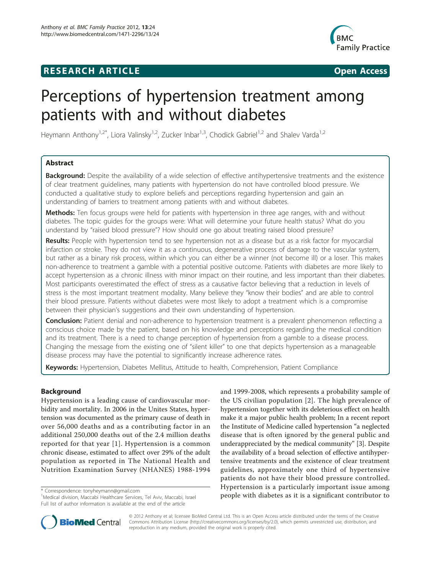# **RESEARCH ARTICLE Example 2018 12:00 Open Access**



# Perceptions of hypertension treatment among patients with and without diabetes

Heymann Anthony<sup>1,2\*</sup>, Liora Valinsky<sup>1,2</sup>, Zucker Inbar<sup>1,3</sup>, Chodick Gabriel<sup>1,2</sup> and Shalev Varda<sup>1,2</sup>

# Abstract

Background: Despite the availability of a wide selection of effective antihypertensive treatments and the existence of clear treatment guidelines, many patients with hypertension do not have controlled blood pressure. We conducted a qualitative study to explore beliefs and perceptions regarding hypertension and gain an understanding of barriers to treatment among patients with and without diabetes.

Methods: Ten focus groups were held for patients with hypertension in three age ranges, with and without diabetes. The topic guides for the groups were: What will determine your future health status? What do you understand by "raised blood pressure"? How should one go about treating raised blood pressure?

Results: People with hypertension tend to see hypertension not as a disease but as a risk factor for myocardial infarction or stroke. They do not view it as a continuous, degenerative process of damage to the vascular system, but rather as a binary risk process, within which you can either be a winner (not become ill) or a loser. This makes non-adherence to treatment a gamble with a potential positive outcome. Patients with diabetes are more likely to accept hypertension as a chronic illness with minor impact on their routine, and less important than their diabetes. Most participants overestimated the effect of stress as a causative factor believing that a reduction in levels of stress is the most important treatment modality. Many believe they "know their bodies" and are able to control their blood pressure. Patients without diabetes were most likely to adopt a treatment which is a compromise between their physician's suggestions and their own understanding of hypertension.

Conclusion: Patient denial and non-adherence to hypertension treatment is a prevalent phenomenon reflecting a conscious choice made by the patient, based on his knowledge and perceptions regarding the medical condition and its treatment. There is a need to change perception of hypertension from a gamble to a disease process. Changing the message from the existing one of "silent killer" to one that depicts hypertension as a manageable disease process may have the potential to significantly increase adherence rates.

Keywords: Hypertension, Diabetes Mellitus, Attitude to health, Comprehension, Patient Compliance

# Background

Hypertension is a leading cause of cardiovascular morbidity and mortality. In 2006 in the Unites States, hypertension was documented as the primary cause of death in over 56,000 deaths and as a contributing factor in an additional 250,000 deaths out of the 2.4 million deaths reported for that year [[1\]](#page-5-0). Hypertension is a common chronic disease, estimated to affect over 29% of the adult population as reported in The National Health and Nutrition Examination Survey (NHANES) 1988-1994

and 1999-2008, which represents a probability sample of the US civilian population [[2](#page-5-0)]. The high prevalence of hypertension together with its deleterious effect on health make it a major public health problem; In a recent report the Institute of Medicine called hypertension "a neglected disease that is often ignored by the general public and underappreciated by the medical community" [[3\]](#page-5-0). Despite the availability of a broad selection of effective antihypertensive treatments and the existence of clear treatment guidelines, approximately one third of hypertensive patients do not have their blood pressure controlled. Hypertension is a particularly important issue among \* Correspondence: [tonyheymann@gmail.com](mailto:tonyheymann@gmail.com)<br>
<sup>1</sup>Medical division Maccabi Healthcare Services Tel Aviv Maccabi Israel **people with diabetes as it is a significant contributor to** 



© 2012 Anthony et al; licensee BioMed Central Ltd. This is an Open Access article distributed under the terms of the Creative Commons Attribution License [\(http://creativecommons.org/licenses/by/2.0](http://creativecommons.org/licenses/by/2.0)), which permits unrestricted use, distribution, and reproduction in any medium, provided the original work is properly cited.

<sup>&</sup>lt;sup>1</sup>Medical division, Maccabi Healthcare Services, Tel Aviv, Maccabi, Israel Full list of author information is available at the end of the article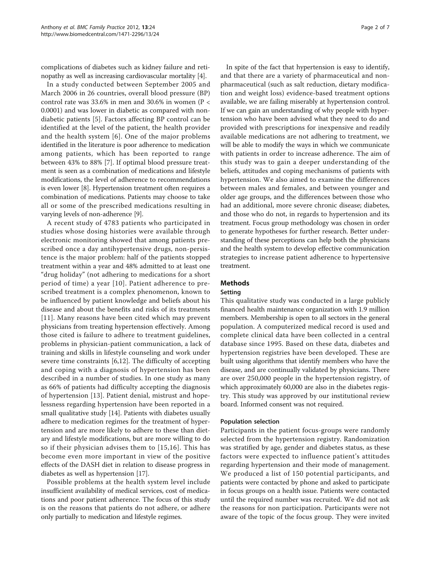complications of diabetes such as kidney failure and retinopathy as well as increasing cardiovascular mortality [[4\]](#page-5-0).

In a study conducted between September 2005 and March 2006 in 26 countries, overall blood pressure (BP) control rate was 33.6% in men and 30.6% in women (P < 0.0001) and was lower in diabetic as compared with nondiabetic patients [[5](#page-5-0)]. Factors affecting BP control can be identified at the level of the patient, the health provider and the health system [\[6](#page-5-0)]. One of the major problems identified in the literature is poor adherence to medication among patients, which has been reported to range between 43% to 88% [\[7](#page-5-0)]. If optimal blood pressure treatment is seen as a combination of medications and lifestyle modifications, the level of adherence to recommendations is even lower [\[8](#page-5-0)]. Hypertension treatment often requires a combination of medications. Patients may choose to take all or some of the prescribed medications resulting in varying levels of non-adherence [\[9](#page-5-0)].

A recent study of 4783 patients who participated in studies whose dosing histories were available through electronic monitoring showed that among patients prescribed once a day antihypertensive drugs, non-persistence is the major problem: half of the patients stopped treatment within a year and 48% admitted to at least one "drug holiday" (not adhering to medications for a short period of time) a year [[10](#page-5-0)]. Patient adherence to prescribed treatment is a complex phenomenon, known to be influenced by patient knowledge and beliefs about his disease and about the benefits and risks of its treatments [[11](#page-5-0)]. Many reasons have been cited which may prevent physicians from treating hypertension effectively. Among those cited is failure to adhere to treatment guidelines, problems in physician-patient communication, a lack of training and skills in lifestyle counseling and work under severe time constraints [\[6](#page-5-0),[12](#page-5-0)]. The difficulty of accepting and coping with a diagnosis of hypertension has been described in a number of studies. In one study as many as 66% of patients had difficulty accepting the diagnosis of hypertension [[13\]](#page-5-0). Patient denial, mistrust and hopelessness regarding hypertension have been reported in a small qualitative study [\[14](#page-5-0)]. Patients with diabetes usually adhere to medication regimes for the treatment of hypertension and are more likely to adhere to these than dietary and lifestyle modifications, but are more willing to do so if their physician advises them to [[15,16\]](#page-5-0). This has become even more important in view of the positive effects of the DASH diet in relation to disease progress in diabetes as well as hypertension [\[17](#page-5-0)].

Possible problems at the health system level include insufficient availability of medical services, cost of medications and poor patient adherence. The focus of this study is on the reasons that patients do not adhere, or adhere only partially to medication and lifestyle regimes.

In spite of the fact that hypertension is easy to identify, and that there are a variety of pharmaceutical and nonpharmaceutical (such as salt reduction, dietary modification and weight loss) evidence-based treatment options available, we are failing miserably at hypertension control. If we can gain an understanding of why people with hypertension who have been advised what they need to do and provided with prescriptions for inexpensive and readily available medications are not adhering to treatment, we will be able to modify the ways in which we communicate with patients in order to increase adherence. The aim of this study was to gain a deeper understanding of the beliefs, attitudes and coping mechanisms of patients with hypertension. We also aimed to examine the differences between males and females, and between younger and older age groups, and the differences between those who had an additional, more severe chronic disease; diabetes, and those who do not, in regards to hypertension and its treatment. Focus group methodology was chosen in order to generate hypotheses for further research. Better understanding of these perceptions can help both the physicians and the health system to develop effective communication strategies to increase patient adherence to hypertensive treatment.

# Methods

# Setting

This qualitative study was conducted in a large publicly financed health maintenance organization with 1.9 million members. Membership is open to all sectors in the general population. A computerized medical record is used and complete clinical data have been collected in a central database since 1995. Based on these data, diabetes and hypertension registries have been developed. These are built using algorithms that identify members who have the disease, and are continually validated by physicians. There are over 250,000 people in the hypertension registry, of which approximately 60,000 are also in the diabetes registry. This study was approved by our institutional review board. Informed consent was not required.

#### Population selection

Participants in the patient focus-groups were randomly selected from the hypertension registry. Randomization was stratified by age, gender and diabetes status, as these factors were expected to influence patient's attitudes regarding hypertension and their mode of management. We produced a list of 150 potential participants, and patients were contacted by phone and asked to participate in focus groups on a health issue. Patients were contacted until the required number was recruited. We did not ask the reasons for non participation. Participants were not aware of the topic of the focus group. They were invited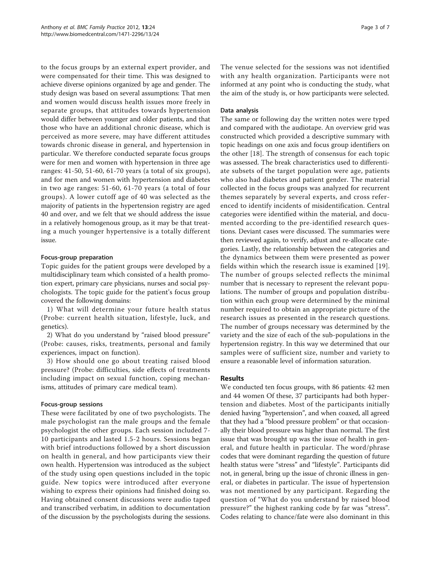to the focus groups by an external expert provider, and were compensated for their time. This was designed to achieve diverse opinions organized by age and gender. The study design was based on several assumptions: That men and women would discuss health issues more freely in separate groups, that attitudes towards hypertension would differ between younger and older patients, and that those who have an additional chronic disease, which is perceived as more severe, may have different attitudes towards chronic disease in general, and hypertension in particular. We therefore conducted separate focus groups were for men and women with hypertension in three age ranges: 41-50, 51-60, 61-70 years (a total of six groups), and for men and women with hypertension and diabetes in two age ranges: 51-60, 61-70 years (a total of four groups). A lower cutoff age of 40 was selected as the majority of patients in the hypertension registry are aged 40 and over, and we felt that we should address the issue in a relatively homogenous group, as it may be that treating a much younger hypertensive is a totally different issue.

# Focus-group preparation

Topic guides for the patient groups were developed by a multidisciplinary team which consisted of a health promotion expert, primary care physicians, nurses and social psychologists. The topic guide for the patient's focus group covered the following domains:

1) What will determine your future health status (Probe: current health situation, lifestyle, luck, and genetics).

2) What do you understand by "raised blood pressure" (Probe: causes, risks, treatments, personal and family experiences, impact on function).

3) How should one go about treating raised blood pressure? (Probe: difficulties, side effects of treatments including impact on sexual function, coping mechanisms, attitudes of primary care medical team).

# Focus-group sessions

These were facilitated by one of two psychologists. The male psychologist ran the male groups and the female psychologist the other groups. Each session included 7- 10 participants and lasted 1.5-2 hours. Sessions began with brief introductions followed by a short discussion on health in general, and how participants view their own health. Hypertension was introduced as the subject of the study using open questions included in the topic guide. New topics were introduced after everyone wishing to express their opinions had finished doing so. Having obtained consent discussions were audio taped and transcribed verbatim, in addition to documentation of the discussion by the psychologists during the sessions.

The venue selected for the sessions was not identified with any health organization. Participants were not informed at any point who is conducting the study, what the aim of the study is, or how participants were selected.

# Data analysis

The same or following day the written notes were typed and compared with the audiotape. An overview grid was constructed which provided a descriptive summary with topic headings on one axis and focus group identifiers on the other [\[18](#page-6-0)]. The strength of consensus for each topic was assessed. The break characteristics used to differentiate subsets of the target population were age, patients who also had diabetes and patient gender. The material collected in the focus groups was analyzed for recurrent themes separately by several experts, and cross referenced to identify incidents of misidentification. Central categories were identified within the material, and documented according to the pre-identified research questions. Deviant cases were discussed. The summaries were then reviewed again, to verify, adjust and re-allocate categories. Lastly, the relationship between the categories and the dynamics between them were presented as power fields within which the research issue is examined [[19](#page-6-0)]. The number of groups selected reflects the minimal number that is necessary to represent the relevant populations. The number of groups and population distribution within each group were determined by the minimal number required to obtain an appropriate picture of the research issues as presented in the research questions. The number of groups necessary was determined by the variety and the size of each of the sub-populations in the hypertension registry. In this way we determined that our samples were of sufficient size, number and variety to ensure a reasonable level of information saturation.

# Results

We conducted ten focus groups, with 86 patients: 42 men and 44 women Of these, 37 participants had both hypertension and diabetes. Most of the participants initially denied having "hypertension", and when coaxed, all agreed that they had a "blood pressure problem" or that occasionally their blood pressure was higher than normal. The first issue that was brought up was the issue of health in general, and future health in particular. The word/phrase codes that were dominant regarding the question of future health status were "stress" and "lifestyle". Participants did not, in general, bring up the issue of chronic illness in general, or diabetes in particular. The issue of hypertension was not mentioned by any participant. Regarding the question of "What do you understand by raised blood pressure?" the highest ranking code by far was "stress". Codes relating to chance/fate were also dominant in this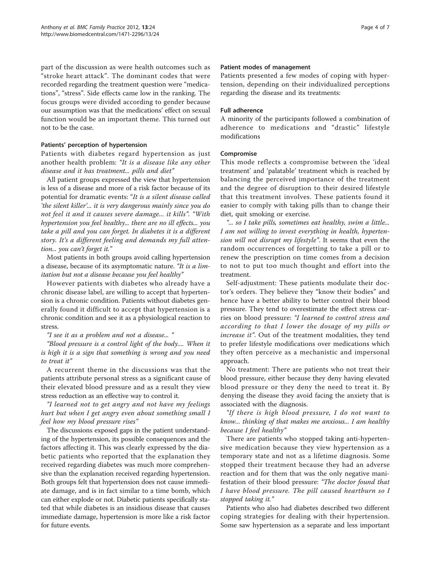part of the discussion as were health outcomes such as "stroke heart attack". The dominant codes that were recorded regarding the treatment question were "medications", "stress". Side effects came low in the ranking. The focus groups were divided according to gender because our assumption was that the medications' effect on sexual function would be an important theme. This turned out not to be the case.

#### Patients' perception of hypertension

Patients with diabetes regard hypertension as just another health problem: "It is a disease like any other disease and it has treatment... pills and diet"

All patient groups expressed the view that hypertension is less of a disease and more of a risk factor because of its potential for dramatic events: "It is a silent disease called 'the silent killer'... it is very dangerous mainly since you do not feel it and it causes severe damage... it kills". "With hypertension you feel healthy... there are no ill effects... you take a pill and you can forget. In diabetes it is a different story. It's a different feeling and demands my full attention... you can't forget it."

Most patients in both groups avoid calling hypertension a disease, because of its asymptomatic nature. "It is a limitation but not a disease because you feel healthy"

However patients with diabetes who already have a chronic disease label, are willing to accept that hypertension is a chronic condition. Patients without diabetes generally found it difficult to accept that hypertension is a chronic condition and see it as a physiological reaction to stress.

"I see it as a problem and not a disease... "

"Blood pressure is a control light of the body.... When it is high it is a sign that something is wrong and you need to treat it"

A recurrent theme in the discussions was that the patients attribute personal stress as a significant cause of their elevated blood pressure and as a result they view stress reduction as an effective way to control it.

"I learned not to get angry and not have my feelings hurt but when I get angry even about something small I feel how my blood pressure rises"

The discussions exposed gaps in the patient understanding of the hypertension, its possible consequences and the factors affecting it. This was clearly expressed by the diabetic patients who reported that the explanation they received regarding diabetes was much more comprehensive than the explanation received regarding hypertension. Both groups felt that hypertension does not cause immediate damage, and is in fact similar to a time bomb, which can either explode or not. Diabetic patients specifically stated that while diabetes is an insidious disease that causes immediate damage, hypertension is more like a risk factor for future events.

#### Patient modes of management

Patients presented a few modes of coping with hypertension, depending on their individualized perceptions regarding the disease and its treatments:

#### Full adherence

A minority of the participants followed a combination of adherence to medications and "drastic" lifestyle modifications

#### Compromise

This mode reflects a compromise between the 'ideal treatment' and 'palatable' treatment which is reached by balancing the perceived importance of the treatment and the degree of disruption to their desired lifestyle that this treatment involves. These patients found it easier to comply with taking pills than to change their diet, quit smoking or exercise.

"... so I take pills, sometimes eat healthy, swim a little... I am not willing to invest everything in health, hypertension will not disrupt my lifestyle". It seems that even the random occurrences of forgetting to take a pill or to renew the prescription on time comes from a decision to not to put too much thought and effort into the treatment.

Self-adjustment: These patients modulate their doctor's orders. They believe they "know their bodies" and hence have a better ability to better control their blood pressure. They tend to overestimate the effect stress carries on blood pressure: "I learned to control stress and according to that I lower the dosage of my pills or increase it". Out of the treatment modalities, they tend to prefer lifestyle modifications over medications which they often perceive as a mechanistic and impersonal approach.

No treatment: There are patients who not treat their blood pressure, either because they deny having elevated blood pressure or they deny the need to treat it. By denying the disease they avoid facing the anxiety that is associated with the diagnosis.

"If there is high blood pressure, I do not want to know... thinking of that makes me anxious... I am healthy because I feel healthy"

There are patients who stopped taking anti-hypertensive medication because they view hypertension as a temporary state and not as a lifetime diagnosis. Some stopped their treatment because they had an adverse reaction and for them that was the only negative manifestation of their blood pressure: "The doctor found that I have blood pressure. The pill caused heartburn so I stopped taking it."

Patients who also had diabetes described two different coping strategies for dealing with their hypertension. Some saw hypertension as a separate and less important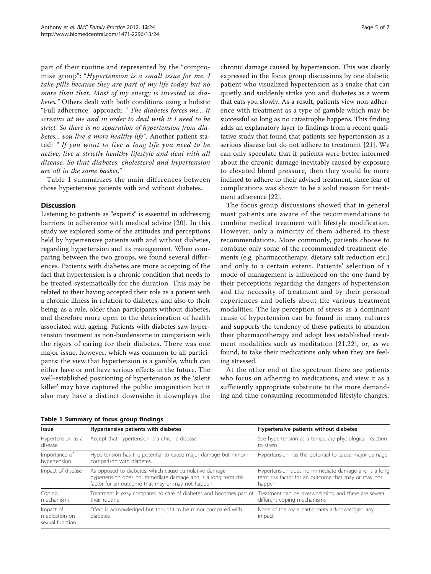part of their routine and represented by the "compromise group": "Hypertension is a small issue for me. I take pills because they are part of my life today but no more than that. Most of my energy is invested in diabetes." Others dealt with both conditions using a holistic "Full adherence" approach: " The diabetes forces me... it screams at me and in order to deal with it I need to be strict. So there is no separation of hypertension from diabetes... you live a more healthy life". Another patient stated: " If you want to live a long life you need to be active, live a strictly healthy lifestyle and deal with all disease. So that diabetes, cholesterol and hypertension are all in the same basket."

Table 1 summarizes the main differences between those hypertensive patients with and without diabetes.

#### **Discussion**

Listening to patients as "experts" is essential in addressing barriers to adherence with medical advice [[20\]](#page-6-0). In this study we explored some of the attitudes and perceptions held by hypertensive patients with and without diabetes, regarding hypertension and its management. When comparing between the two groups, we found several differences. Patients with diabetes are more accepting of the fact that hypertension is a chronic condition that needs to be treated systematically for the duration. This may be related to their having accepted their role as a patient with a chronic illness in relation to diabetes, and also to their being, as a rule, older than participants without diabetes, and therefore more open to the deterioration of health associated with ageing. Patients with diabetes saw hypertension treatment as non-burdensome in comparison with the rigors of caring for their diabetes. There was one major issue, however, which was common to all participants: the view that hypertension is a gamble, which can either have or not have serious effects in the future. The well-established positioning of hypertension as the 'silent killer' may have captured the public imagination but it also may have a distinct downside: it downplays the

Table 1 Summary of focus group findings

chronic damage caused by hypertension. This was clearly expressed in the focus group discussions by one diabetic patient who visualized hypertension as a snake that can quietly and suddenly strike you and diabetes as a worm that eats you slowly. As a result, patients view non-adherence with treatment as a type of gamble which may be successful so long as no catastrophe happens. This finding adds an explanatory layer to findings from a recent qualitative study that found that patients see hypertension as a serious disease but do not adhere to treatment [[21\]](#page-6-0). We can only speculate that if patients were better informed about the chronic damage inevitably caused by exposure to elevated blood pressure, then they would be more inclined to adhere to their advised treatment, since fear of complications was shown to be a solid reason for treatment adherence [\[22\]](#page-6-0).

The focus group discussions showed that in general most patients are aware of the recommendations to combine medical treatment with lifestyle modification. However, only a minority of them adhered to these recommendations. More commonly, patients choose to combine only some of the recommended treatment elements (e.g. pharmacotherapy, dietary salt reduction etc.) and only to a certain extent. Patients' selection of a mode of management is influenced on the one hand by their perceptions regarding the dangers of hypertension and the necessity of treatment and by their personal experiences and beliefs about the various treatment modalities. The lay perception of stress as a dominant cause of hypertension can be found in many cultures and supports the tendency of these patients to abandon their pharmacotherapy and adopt less established treatment modalities such as meditation [\[21,22](#page-6-0)], or, as we found, to take their medications only when they are feeling stressed.

At the other end of the spectrum there are patients who focus on adhering to medications, and view it as a sufficiently appropriate substitute to the more demanding and time consuming recommended lifestyle changes.

| <b>Issue</b>                                  | Hypertensive patients with diabetes                                                                                                                                        | Hypertensive patients without diabetes                                                                               |
|-----------------------------------------------|----------------------------------------------------------------------------------------------------------------------------------------------------------------------------|----------------------------------------------------------------------------------------------------------------------|
| Hypertension as a<br>disease                  | Accept that hypertension is a chronic disease                                                                                                                              | See hypertension as a temporary physiological reaction<br>to stress                                                  |
| Importance of<br>hypertension                 | Hypertension has the potential to cause major damage but minor in Hypertension has the potential to cause major damage<br>comparison with diabetes                         |                                                                                                                      |
| Impact of disease                             | As opposed to diabetes, which cause cumulative damage<br>hypertension does no immediate damage and is a long term risk<br>factor for an outcome that may or may not happen | Hypertension does no immediate damage and is a long<br>term risk factor for an outcome that may or may not<br>happen |
| Coping<br>mechanisms                          | Treatment is easy compared to care of diabetes and becomes part of<br>their routine                                                                                        | Treatment can be overwhelming and there are several<br>different coping mechanisms                                   |
| Impact of<br>medication on<br>sexual function | Effect is acknowledged but thought to be minor compared with<br>diabetes                                                                                                   | None of the male participants acknowledged any<br>impact                                                             |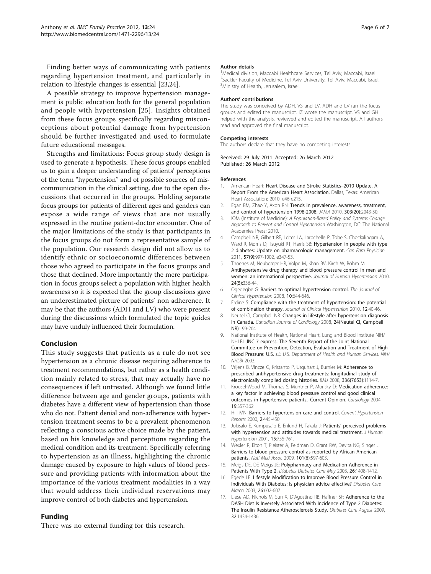<span id="page-5-0"></span>Finding better ways of communicating with patients regarding hypertension treatment, and particularly in relation to lifestyle changes is essential [\[23,24\]](#page-6-0).

A possible strategy to improve hypertension management is public education both for the general population and people with hypertension [[25](#page-6-0)]. Insights obtained from these focus groups specifically regarding misconceptions about potential damage from hypertension should be further investigated and used to formulate future educational messages.

Strengths and limitations: Focus group study design is used to generate a hypothesis. These focus groups enabled us to gain a deeper understanding of patients' perceptions of the term "hypertension" and of possible sources of miscommunication in the clinical setting, due to the open discussions that occurred in the groups. Holding separate focus groups for patients of different ages and genders can expose a wide range of views that are not usually expressed in the routine patient-doctor encounter. One of the major limitations of the study is that participants in the focus groups do not form a representative sample of the population. Our research design did not allow us to identify ethnic or socioeconomic differences between those who agreed to participate in the focus groups and those that declined. More importantly the mere participation in focus groups select a population with higher health awareness so it is expected that the group discussions gave an underestimated picture of patients' non adherence. It may be that the authors (ADH and LV) who were present during the discussions which formulated the topic guides may have unduly influenced their formulation.

# Conclusion

This study suggests that patients as a rule do not see hypertension as a chronic disease requiring adherence to treatment recommendations, but rather as a health condition mainly related to stress, that may actually have no consequences if left untreated. Although we found little difference between age and gender groups, patients with diabetes have a different view of hypertension than those who do not. Patient denial and non-adherence with hypertension treatment seems to be a prevalent phenomenon reflecting a conscious active choice made by the patient, based on his knowledge and perceptions regarding the medical condition and its treatment. Specifically referring to hypertension as an illness, highlighting the chronic damage caused by exposure to high values of blood pressure and providing patients with information about the importance of the various treatment modalities in a way that would address their individual reservations may improve control of both diabetes and hypertension.

# Funding

There was no external funding for this research.

#### Author details

<sup>1</sup>Medical division, Maccabi Healthcare Services, Tel Aviv, Maccabi, Israel. <sup>2</sup>Sackler Faculty of Medicine, Tel Aviv University, Tel Aviv, Maccabi, Israel. <sup>3</sup>Ministry of Health, Jerusalem, Israel.

#### Authors' contributions

The study was conceived by ADH, VS and LV. ADH and LV ran the focus groups and edited the manuscript. IZ wrote the manuscript. VS and GH helped with the analysis, reviewed and edited the manuscript. All authors read and approved the final manuscript.

#### Competing interests

The authors declare that they have no competing interests.

Received: 29 July 2011 Accepted: 26 March 2012 Published: 26 March 2012

#### References

- 1. American Heart: Heart Disease and Stroke Statistics–2010 Update. A Report From the American Heart Association. Dallas, Texas: American Heart Association; 2010, e46-e215.
- 2. Egan BM, Zhao Y, Axon RN: [Trends in prevalence, awareness, treatment,](http://www.ncbi.nlm.nih.gov/pubmed/20501926?dopt=Abstract) [and control of hypertension 1998-2008.](http://www.ncbi.nlm.nih.gov/pubmed/20501926?dopt=Abstract) JAMA 2010, 303(20):2043-50.
- IOM (Institute of Medicine): A Population-Based Policy and Systems Change Approach to Prevent and Control Hypertension Washington, DC: The National Academies Press; 2010.
- 4. Campbell NR, Gilbert RE, Leiter LA, Larochelle P, Tobe S, Chockalingam A, Ward R, Morris D, Tsuyuki RT, Harris SB: [Hypertension in people with type](http://www.ncbi.nlm.nih.gov/pubmed/21918140?dopt=Abstract) [2 diabetes: Update on pharmacologic management.](http://www.ncbi.nlm.nih.gov/pubmed/21918140?dopt=Abstract) Can Fam Physician 2011, 57(9):997-1002, e347-53.
- 5. Thoenes M, Neuberger HR, Volpe M, Khan BV, Kirch W, Böhm M: [Antihypertensive drug therapy and blood pressure control in men and](http://www.ncbi.nlm.nih.gov/pubmed/19798089?dopt=Abstract) [women: an international perspective.](http://www.ncbi.nlm.nih.gov/pubmed/19798089?dopt=Abstract) Journal of Human Hypertension 2010, 24(5):336-44.
- 6. Ogedegbe G: [Barriers to optimal hypertension control.](http://www.ncbi.nlm.nih.gov/pubmed/18772648?dopt=Abstract) The Journal of Clinical Hypertension 2008, 10:644-646.
- 7. Erdine S: Compliance with the treatment of hypertension: the potential of combination therapy. Journal of Clinical Hypertesnion 2010, 12:40-46.
- 8. Neutel CI, Campbell NR: [Changes in lifestyle after hypertension diagnosis](http://www.ncbi.nlm.nih.gov/pubmed/18340389?dopt=Abstract) [in Canada.](http://www.ncbi.nlm.nih.gov/pubmed/18340389?dopt=Abstract) Canadian Journal of Cardiology 2008, 24(Neutel CI, Campbell NR):199-204.
- 9. National Institute of Health, National Heart, Lung and Blood Institute NIH/ NHLBI: JNC 7 express: The Seventh Report of the Joint National Committee on Prevention, Detection, Evaluation and Treatment of High Blood Pressure: U.S. s.l.: U.S. Department of Health and Human Services, NIH/ NHLBI 2003.
- 10. Vrijens B, Vincze G, Kristanto P, Urquhart J, Burnier M: [Adherence to](http://www.ncbi.nlm.nih.gov/pubmed/18480115?dopt=Abstract) [prescribed antihypertensive drug treatments: longitudinal study of](http://www.ncbi.nlm.nih.gov/pubmed/18480115?dopt=Abstract) [electronically compiled dosing histories.](http://www.ncbi.nlm.nih.gov/pubmed/18480115?dopt=Abstract) BMJ 2008, 336(7653):1114-7.
- 11. Krousel-Wood M, Thomas S, Muntner P, Morisky D: Medication adherence: a key factor in achieving blood pressure control and good clinical outcomes in hypertensive patients., Current Opinion. Cardiology 2004, 19:357-362.
- 12. Hill MN: [Barriers to hypertension care and control.](http://www.ncbi.nlm.nih.gov/pubmed/10995519?dopt=Abstract) Current Hypertension Reports 2000, 2:445-450.
- 13. Jokisalo E, Kumpusalo E, Enlund H, Takala J: Patients' perceived problems with hypertension and attitudes towards medical treatment. J Human Hypertension 2001, 15:755-761.
- 14. Wexler R, Elton T, Pleister A, Feldman D, Grant RW, Devita NG, Singer J: Barriers to blood pressure control as reported by African American patients. Natl Med Assoc 2009, 101(6):597-603.
- 15. Meigs DE, DE Meigs JE: Polypharmacy and Medication Adherence in Patients With Type 2. Diabetes Diabetes Care May 2003, 26:1408-1412.
- 16. Egede LE: Lifestyle Modification to Improve Blood Pressure Control in Individuals With Diabetes: Is physician advice effective? Diabetes Care March 2003, 26:602-607.
- 17. Liese AD, Nichols M, Sun X, D'Agostino RB, Haffner SF: Adherence to the DASH Diet Is Inversely Associated With Incidence of Type 2 Diabetes: The Insulin Resistance Atherosclerosis Study. Diabetes Care August 2009, 32:1434-1436.